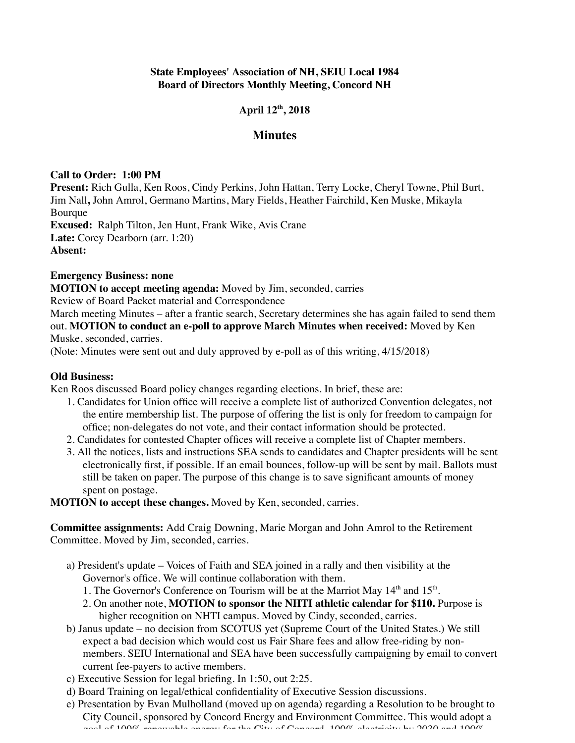# **State Employees' Association of NH, SEIU Local 1984 Board of Directors Monthly Meeting, Concord NH**

# **April 12th, 2018**

## **Minutes**

### **Call to Order: 1:00 PM**

**Present:** Rich Gulla, Ken Roos, Cindy Perkins, John Hattan, Terry Locke, Cheryl Towne, Phil Burt, Jim Nall**,** John Amrol, Germano Martins, Mary Fields, Heather Fairchild, Ken Muske, Mikayla Bourque **Excused:** Ralph Tilton, Jen Hunt, Frank Wike, Avis Crane **Late:** Corey Dearborn (arr. 1:20) **Absent:**

# **Emergency Business: none**

**MOTION to accept meeting agenda:** Moved by Jim, seconded, carries

Review of Board Packet material and Correspondence

March meeting Minutes – after a frantic search, Secretary determines she has again failed to send them out. **MOTION to conduct an e-poll to approve March Minutes when received:** Moved by Ken Muske, seconded, carries.

(Note: Minutes were sent out and duly approved by e-poll as of this writing, 4/15/2018)

### **Old Business:**

Ken Roos discussed Board policy changes regarding elections. In brief, these are:

- 1. Candidates for Union office will receive a complete list of authorized Convention delegates, not the entire membership list. The purpose of offering the list is only for freedom to campaign for office; non-delegates do not vote, and their contact information should be protected.
- 2. Candidates for contested Chapter offices will receive a complete list of Chapter members.
- 3. All the notices, lists and instructions SEA sends to candidates and Chapter presidents will be sent electronically first, if possible. If an email bounces, follow-up will be sent by mail. Ballots must still be taken on paper. The purpose of this change is to save significant amounts of money spent on postage.

**MOTION to accept these changes.** Moved by Ken, seconded, carries.

**Committee assignments:** Add Craig Downing, Marie Morgan and John Amrol to the Retirement Committee. Moved by Jim, seconded, carries.

- a) President's update Voices of Faith and SEA joined in a rally and then visibility at the Governor's office. We will continue collaboration with them.
	- 1. The Governor's Conference on Tourism will be at the Marriot May  $14<sup>th</sup>$  and  $15<sup>th</sup>$ .
	- 2. On another note, **MOTION to sponsor the NHTI athletic calendar for \$110.** Purpose is higher recognition on NHTI campus. Moved by Cindy, seconded, carries.
- b) Janus update no decision from SCOTUS yet (Supreme Court of the United States.) We still expect a bad decision which would cost us Fair Share fees and allow free-riding by nonmembers. SEIU International and SEA have been successfully campaigning by email to convert current fee-payers to active members.
- c) Executive Session for legal briefing. In 1:50, out 2:25.
- d) Board Training on legal/ethical confidentiality of Executive Session discussions.
- e) Presentation by Evan Mulholland (moved up on agenda) regarding a Resolution to be brought to City Council, sponsored by Concord Energy and Environment Committee. This would adopt a goal of 100% receivable energy for the City of Concord, 100% electricity by 2030 and 1000